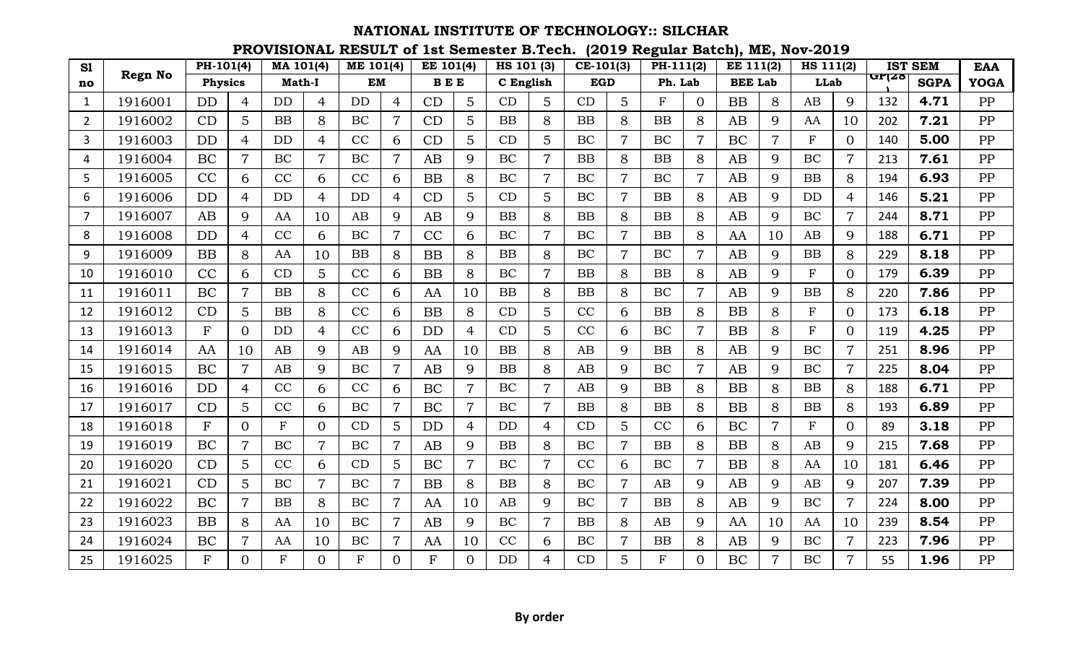| S1             |                | PH-101(4)      |                 | MA 101(4)     |                | <b>ME 101(4)</b> |                | EE 101(4)  |                | HS 101 (3) |                | $CE-101(3)$ |                | PH-111(2) |                | <b>EE 111(2)</b> |                | HS 111(2)    |                |              | <b>IST SEM</b> | <b>EAA</b>  |
|----------------|----------------|----------------|-----------------|---------------|----------------|------------------|----------------|------------|----------------|------------|----------------|-------------|----------------|-----------|----------------|------------------|----------------|--------------|----------------|--------------|----------------|-------------|
| no             | <b>Regn No</b> | <b>Physics</b> |                 | <b>Math-I</b> |                | <b>EM</b>        |                | <b>BEE</b> |                | C English  |                | <b>EGD</b>  |                | Ph. Lab   |                | <b>BEE Lab</b>   |                | <b>LLab</b>  |                | <b>GP128</b> | <b>SGPA</b>    | <b>YOGA</b> |
| $\mathbf{1}$   | 1916001        | DD             | $\overline{4}$  | <b>DD</b>     | $\overline{4}$ | <b>DD</b>        | $\overline{4}$ | CD         | 5              | CD         | 5              | CD          | 5              | F         | $\overline{0}$ | <b>BB</b>        | 8              | AB           | 9              | 132          | 4.71           | PP          |
| $\overline{2}$ | 1916002        | CD             | 5               | <b>BB</b>     | 8              | BC               | $\overline{7}$ | CD         | 5              | <b>BB</b>  | 8              | <b>BB</b>   | 8              | <b>BB</b> | 8              | AB               | 9              | AA           | 10             | 202          | 7.21           | PP          |
| 3              | 1916003        | <b>DD</b>      | $\overline{4}$  | <b>DD</b>     | 4              | CC               | 6              | CD         | 5              | CD         | 5              | BC          | $\overline{7}$ | BC        | $\overline{7}$ | BC               | $\overline{7}$ | $\mathbf F$  | $\overline{0}$ | 140          | 5.00           | PP          |
| 4              | 1916004        | BC             | $\overline{7}$  | BC            | $\overline{7}$ | <b>BC</b>        | $\overline{7}$ | AB         | 9              | BC         | $\overline{7}$ | <b>BB</b>   | 8              | <b>BB</b> | 8              | AB               | 9              | BC           | $\overline{7}$ | 213          | 7.61           | PP          |
| 5              | 1916005        | CC             | 6               | CC            | 6              | CC               | 6              | <b>BB</b>  | 8              | <b>BC</b>  | $\overline{7}$ | BC          | $\overline{7}$ | <b>BC</b> | $\overline{7}$ | AB               | 9              | BB           | 8              | 194          | 6.93           | PP          |
| 6              | 1916006        | <b>DD</b>      | $\overline{4}$  | <b>DD</b>     | $\overline{4}$ | <b>DD</b>        | $\overline{4}$ | CD         | 5              | CD         | 5              | BC          | $\overline{7}$ | <b>BB</b> | 8              | AB               | 9              | <b>DD</b>    | $\overline{4}$ | 146          | 5.21           | PP          |
| 7              | 1916007        | AB             | 9               | AA            | 10             | AB               | 9              | AB         | 9              | <b>BB</b>  | 8              | <b>BB</b>   | 8              | <b>BB</b> | 8              | AB               | 9              | BC           |                | 244          | 8.71           | PP          |
| 8              | 1916008        | <b>DD</b>      | 4               | CC            | 6              | BC               | $\overline{7}$ | CC         | 6              | BC         | $\overline{7}$ | BC          | $\overline{7}$ | <b>BB</b> | 8              | AA               | 10             | AB           | 9              | 188          | 6.71           | PP          |
| 9              | 1916009        | <b>BB</b>      | 8               | AA            | 10             | BB               | 8              | <b>BB</b>  | 8              | <b>BB</b>  | 8              | BC          | $\overline{7}$ | BC        | $\overline{7}$ | AB               | 9              | BB           | 8              | 229          | 8.18           | PP          |
| 10             | 1916010        | CC             | 6               | CD            | 5              | CC               | 6              | BB         | 8              | BC         | $\overline{7}$ | <b>BB</b>   | 8              | <b>BB</b> | 8              | AB               | 9              | $\mathbf F$  | $\Omega$       | 179          | 6.39           | PP          |
| 11             | 1916011        | BC             | $\overline{7}$  | BB            | 8              | CC               | 6              | AA         | 10             | <b>BB</b>  | 8              | <b>BB</b>   | 8              | BC        | $\overline{7}$ | AB               | 9              | BB           | 8              | 220          | 7.86           | PP          |
| 12             | 1916012        | CD             | 5               | <b>BB</b>     | 8              | CC               | 6              | <b>BB</b>  | 8              | CD         | 5              | CC          | 6              | <b>BB</b> | 8              | <b>BB</b>        | 8              | $_{\rm F}$   | 0              | 173          | 6.18           | PP          |
| 13             | 1916013        | F              | $\Omega$        | <b>DD</b>     | 4              | CC               | 6              | <b>DD</b>  | 4              | CD         | 5              | CC          | 6              | BC        | $\overline{7}$ | <b>BB</b>        | 8              | $\mathbf{F}$ | 0              | 119          | 4.25           | PP          |
| 14             | 1916014        | AA             | 10              | AB            | 9              | AB               | 9              | AA         | 10             | <b>BB</b>  | 8              | AB          | 9              | <b>BB</b> | 8              | AB               | 9              | BC           | $\overline{7}$ | 251          | 8.96           | PP          |
| 15             | 1916015        | BC             | $\overline{7}$  | AB            | 9              | <b>BC</b>        |                | AB         | 9              | <b>BB</b>  | 8              | AB          | 9              | BC        |                | AB               | 9              | <b>BC</b>    |                | 225          | 8.04           | PP          |
| 16             | 1916016        | <b>DD</b>      | $\overline{4}$  | CC            | 6              | CC               | 6              | BC         | $\overline{7}$ | BC         | $\overline{7}$ | AB          | 9              | <b>BB</b> | 8              | <b>BB</b>        | 8              | BB           | 8              | 188          | 6.71           | PP          |
| 17             | 1916017        | CD             | 5               | CC            | 6              | BC               | $\overline{7}$ | BC         | 7              | BC         | 7              | <b>BB</b>   | 8              | <b>BB</b> | 8              | <b>BB</b>        | 8              | BB           | 8              | 193          | 6.89           | PP          |
| 18             | 1916018        | $\mathbf F$    | $\overline{0}$  | $\mathbf{F}$  | $\overline{0}$ | CD               | 5              | <b>DD</b>  | 4              | <b>DD</b>  | 4              | CD          | 5              | CC        | 6              | BC               | $\overline{7}$ | $\mathbf{F}$ | $\Omega$       | 89           | 3.18           | PP          |
| 19             | 1916019        | BC             | $\overline{7}$  | BC            | $\overline{7}$ | BC               | $\overline{7}$ | AB         | 9              | <b>BB</b>  | 8              | BC          | $\overline{7}$ | <b>BB</b> | 8              | <b>BB</b>        | 8              | AB           | 9              | 215          | 7.68           | PP          |
| 20             | 1916020        | CD             | $\overline{5}$  | CC            | 6              | CD               | 5              | BC         | $\overline{7}$ | BC         | 7              | CC          | 6              | BC        | $\overline{7}$ | <b>BB</b>        | 8              | AA           | 10             | 181          | 6.46           | PP          |
| 21             | 1916021        | CD             | $5\overline{)}$ | BC            | $\overline{7}$ | <b>BC</b>        | $\overline{7}$ | <b>BB</b>  | 8              | <b>BB</b>  | 8              | BC          | $\overline{7}$ | AB        | 9              | AB               | 9              | AB           | 9              | 207          | 7.39           | PP          |
| 22             | 1916022        | BC             | $\overline{7}$  | <b>BB</b>     | 8              | BC               | $\overline{7}$ | AA         | 10             | AB         | 9              | BC          | 7              | <b>BB</b> | 8              | AB               | 9              | BC           | 7              | 224          | 8.00           | PP          |
| 23             | 1916023        | <b>BB</b>      | 8               | AA            | 10             | BC               | $\overline{7}$ | AB         | 9              | BC         | $\overline{7}$ | <b>BB</b>   | 8              | AB        | 9              | AA               | 10             | AA           | 10             | 239          | 8.54           | PP          |
| 24             | 1916024        | BC             | $\overline{7}$  | AA            | 10             | BC               | $\overline{7}$ | AA         | 10             | CC         | 6              | BC          | $\overline{7}$ | <b>BB</b> | 8              | AB               | 9              | BC           |                | 223          | 7.96           | PP          |
| 25             | 1916025        | $F_{\rm}$      | $\Omega$        | F             | $\Omega$       | F                | $\Omega$       | F          | $\Omega$       | <b>DD</b>  | 4              | CD          | 5              | F         | $\Omega$       | <b>BC</b>        | $\overline{7}$ | <b>BC</b>    | 7              | 55           | 1.96           | PP          |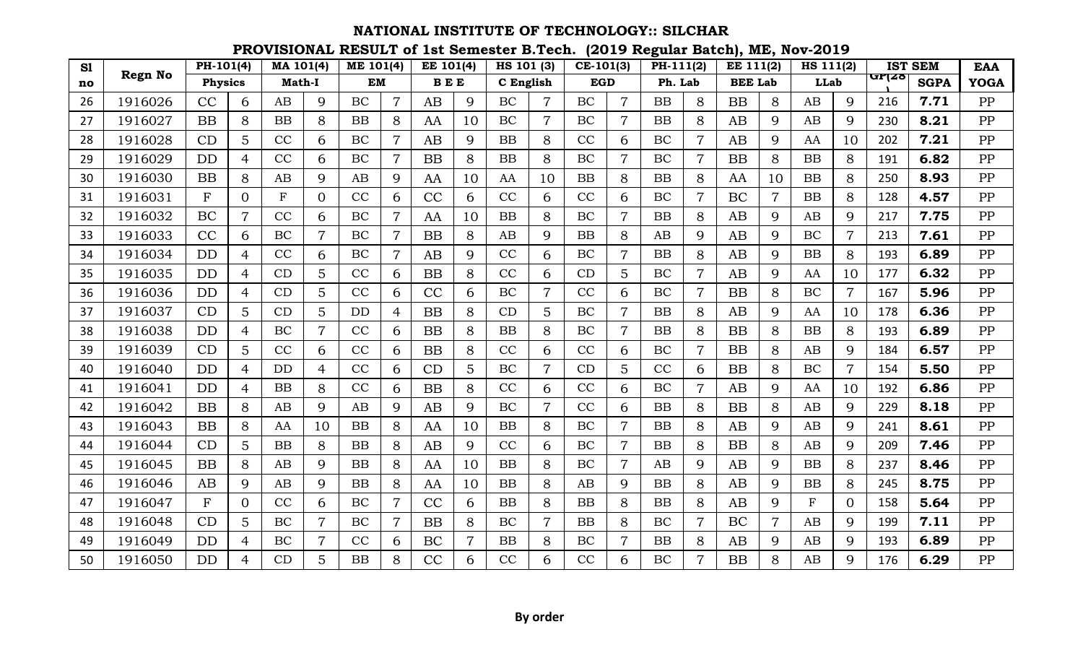| S1 |                | PH-101(4)      |                | MA 101(4)     |                | <b>ME 101(4)</b> |                | EE 101(4)  |    | HS 101 (3) |                | $CE-101(3)$ |                | PH-111(2) |                | <b>EE 111(2)</b> |                | HS 111(2)    |                |       | <b>IST SEM</b> | <b>EAA</b>  |
|----|----------------|----------------|----------------|---------------|----------------|------------------|----------------|------------|----|------------|----------------|-------------|----------------|-----------|----------------|------------------|----------------|--------------|----------------|-------|----------------|-------------|
| no | <b>Regn No</b> | <b>Physics</b> |                | <b>Math-I</b> |                | <b>EM</b>        |                | <b>BEE</b> |    | C English  |                | <b>EGD</b>  |                | Ph. Lab   |                | <b>BEE Lab</b>   |                | <b>LLab</b>  |                | urizo | <b>SGPA</b>    | <b>YOGA</b> |
| 26 | 1916026        | CC             | 6              | AB            | 9              | BC               | $\overline{7}$ | AB         | 9  | BC         | $\overline{7}$ | BC          | $\overline{7}$ | <b>BB</b> | 8              | <b>BB</b>        | 8              | AB           | 9              | 216   | 7.71           | PP          |
| 27 | 1916027        | <b>BB</b>      | 8              | <b>BB</b>     | 8              | <b>BB</b>        | 8              | AA         | 10 | BC         | 7              | BC          | $\overline{7}$ | <b>BB</b> | 8              | AB               | 9              | AB           | 9              | 230   | 8.21           | PP          |
| 28 | 1916028        | CD             | 5              | CC            | 6              | BC               | 7              | AB         | 9  | BB         | 8              | CC          | 6              | BC        | $\overline{7}$ | AB               | 9              | AA           | 10             | 202   | 7.21           | PP          |
| 29 | 1916029        | <b>DD</b>      | 4              | CC            | 6              | BC               | 7              | <b>BB</b>  | 8  | <b>BB</b>  | 8              | BC          | $\overline{7}$ | BC        | $\overline{7}$ | <b>BB</b>        | 8              | <b>BB</b>    | 8              | 191   | 6.82           | PP          |
| 30 | 1916030        | BB             | 8              | AB            | 9              | AB               | 9              | AA         | 10 | AA         | 10             | <b>BB</b>   | 8              | <b>BB</b> | 8              | AA               | 10             | <b>BB</b>    | 8              | 250   | 8.93           | PP          |
| 31 | 1916031        | F              | $\Omega$       | $\mathbf{F}$  | $\overline{0}$ | CC               | 6              | CC         | 6  | CC         | 6              | CC          | 6              | BC        | $\overline{7}$ | BC               | $\overline{7}$ | BB           | 8              | 128   | 4.57           | PP          |
| 32 | 1916032        | BC             | $\overline{7}$ | CC            | 6              | BC               | 7              | AA         | 10 | <b>BB</b>  | 8              | BC          | $\overline{7}$ | <b>BB</b> | 8              | AB               | 9              | AB           | 9              | 217   | 7.75           | PP          |
| 33 | 1916033        | CC             | 6              | BC            | $\overline{7}$ | BC               | $\overline{7}$ | BB         | 8  | AB         | 9              | BB          | 8              | AB        | 9              | AB               | 9              | BC           | 7              | 213   | 7.61           | PP          |
| 34 | 1916034        | <b>DD</b>      | 4              | CC            | 6              | BC               | $\overline{7}$ | AB         | 9  | CC         | 6              | BC          | $\overline{7}$ | <b>BB</b> | 8              | AB               | 9              | <b>BB</b>    | 8              | 193   | 6.89           | PP          |
| 35 | 1916035        | <b>DD</b>      | 4              | CD            | 5              | CC               | 6              | <b>BB</b>  | 8  | CC         | 6              | CD          | 5              | BC        | $\overline{7}$ | AB               | 9              | AA           | 10             | 177   | 6.32           | PP          |
| 36 | 1916036        | <b>DD</b>      | 4              | CD            | 5              | CC               | 6              | CC         | 6  | BC         | $\overline{7}$ | CC          | 6              | BC        | $\overline{7}$ | <b>BB</b>        | 8              | BC           | $\overline{7}$ | 167   | 5.96           | PP          |
| 37 | 1916037        | CD             | 5              | CD            | 5              | <b>DD</b>        | 4              | <b>BB</b>  | 8  | CD         | 5              | BC          | $\overline{7}$ | <b>BB</b> | 8              | AB               | 9              | AA           | 10             | 178   | 6.36           | PP          |
| 38 | 1916038        | <b>DD</b>      | 4              | BC            | $\overline{7}$ | CC               | 6              | BB         | 8  | BB         | 8              | BC          | $\overline{7}$ | <b>BB</b> | 8              | <b>BB</b>        | 8              | BB           | 8              | 193   | 6.89           | PP          |
| 39 | 1916039        | CD             | 5              | CC            | 6              | CC               | 6              | <b>BB</b>  | 8  | CC         | 6              | CC          | 6              | BC        | $\overline{7}$ | <b>BB</b>        | 8              | AB           | 9              | 184   | 6.57           | PP          |
| 40 | 1916040        | <b>DD</b>      | $\overline{4}$ | <b>DD</b>     | 4              | CC               | 6              | CD         | 5  | <b>BC</b>  | $\overline{7}$ | CD          | 5              | CC        | 6              | <b>BB</b>        | 8              | <b>BC</b>    | 7              | 154   | 5.50           | PP          |
| 41 | 1916041        | <b>DD</b>      | 4              | BB            | 8              | CC               | 6              | <b>BB</b>  | 8  | CC         | 6              | CC          | 6              | BC        | $\overline{7}$ | AB               | 9              | AA           | 10             | 192   | 6.86           | PP          |
| 42 | 1916042        | <b>BB</b>      | 8              | AB            | 9              | AB               | 9              | AB         | 9  | BC         | 7              | CC          | 6              | <b>BB</b> | 8              | <b>BB</b>        | 8              | AB           | 9              | 229   | 8.18           | PP          |
| 43 | 1916043        | <b>BB</b>      | 8              | AA            | 10             | <b>BB</b>        | 8              | AA         | 10 | BB         | 8              | BC          | $\overline{7}$ | <b>BB</b> | 8              | AB               | 9              | AB           | 9              | 241   | 8.61           | PP          |
| 44 | 1916044        | CD             | 5 <sup>5</sup> | <b>BB</b>     | 8              | <b>BB</b>        | 8              | AB         | 9  | CC         | 6              | BC          | $\overline{7}$ | <b>BB</b> | 8              | <b>BB</b>        | 8              | AB           | 9              | 209   | 7.46           | PP          |
| 45 | 1916045        | <b>BB</b>      | 8              | AB            | 9              | BB               | 8              | AA         | 10 | BB         | 8              | BC          | $\overline{7}$ | AB        | 9              | AB               | 9              | BB           | 8              | 237   | 8.46           | PP          |
| 46 | 1916046        | AB             | 9              | AB            | 9              | <b>BB</b>        | 8              | AA         | 10 | BB         | 8              | AB          | 9              | <b>BB</b> | 8              | AB               | 9              | BB           | 8              | 245   | 8.75           | PP          |
| 47 | 1916047        | $\mathbf F$    | 0              | CC            | 6              | BC               |                | CC         | 6  | <b>BB</b>  | 8              | <b>BB</b>   | 8              | <b>BB</b> | 8              | AB               | 9              | $\mathbf{F}$ | 0              | 158   | 5.64           | PP          |
| 48 | 1916048        | CD             | 5              | BC            | $\overline{7}$ | BC               | 7              | <b>BB</b>  | 8  | BC         | 7              | <b>BB</b>   | 8              | BC        | $\overline{7}$ | BC               | 7              | AB           | 9              | 199   | 7.11           | PP          |
| 49 | 1916049        | <b>DD</b>      | 4              | BC            | 7              | CC               | 6              | BC         | 7  | BB         | 8              | BC          | $\overline{7}$ | <b>BB</b> | 8              | AB               | 9              | AB           | 9              | 193   | 6.89           | PP          |
| 50 | 1916050        | <b>DD</b>      | $\overline{4}$ | CD            | 5              | <b>BB</b>        | 8              | CC         | 6  | CC         | 6              | CC          | 6              | <b>BC</b> | $\overline{7}$ | <b>BB</b>        | 8              | AB           | 9              | 176   | 6.29           | PP          |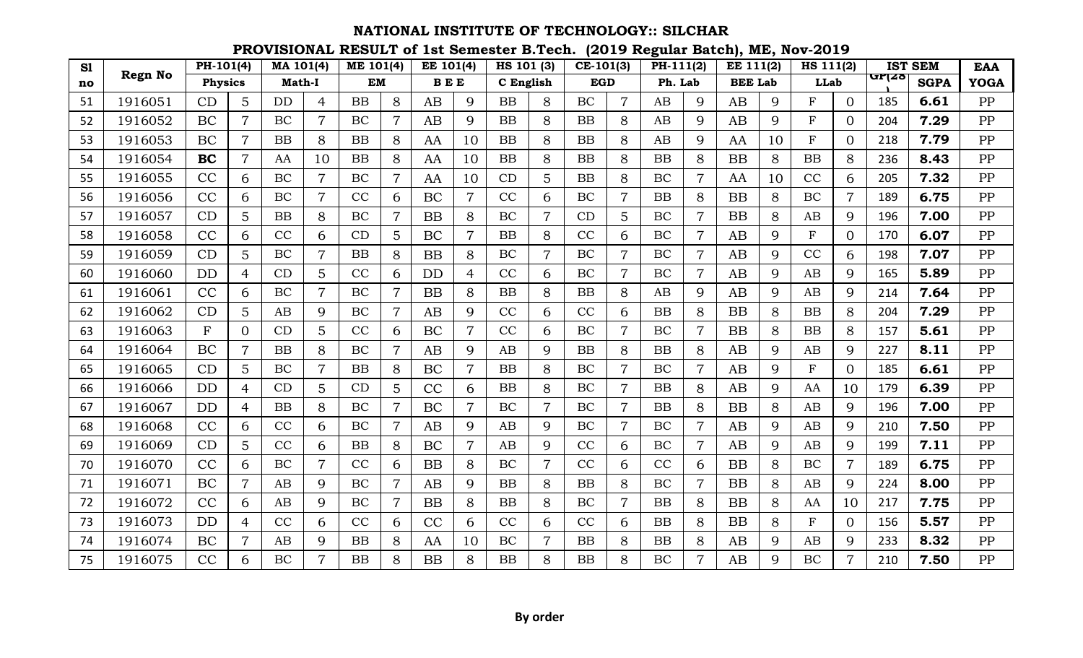| S1 |                | $PH-101(4)$    |                | MA 101(4)     |                | <b>ME 101(4)</b> |                | EE 101(4)  |                | HS 101 (3) |                | $CE-101(3)$ |                | PH-111(2) |                | <b>EE 111(2)</b> |    | HS 111(2)    |                |        | <b>IST SEM</b> | <b>EAA</b>  |
|----|----------------|----------------|----------------|---------------|----------------|------------------|----------------|------------|----------------|------------|----------------|-------------|----------------|-----------|----------------|------------------|----|--------------|----------------|--------|----------------|-------------|
| no | <b>Regn No</b> | <b>Physics</b> |                | <b>Math-I</b> |                | <b>EM</b>        |                | <b>BEE</b> |                | C English  |                | <b>EGD</b>  |                | Ph. Lab   |                | <b>BEE Lab</b>   |    | <b>LLab</b>  |                | पा ∤∡ठ | <b>SGPA</b>    | <b>YOGA</b> |
| 51 | 1916051        | CD             | 5              | <b>DD</b>     | $\overline{4}$ | BB               | 8              | AB         | 9              | <b>BB</b>  | 8              | BC          | $\overline{7}$ | AB        | 9              | AB               | 9  | F            | $\Omega$       | 185    | 6.61           | PP          |
| 52 | 1916052        | BC             | $\overline{7}$ | BC            | $\overline{7}$ | BC               | 7              | AB         | 9              | <b>BB</b>  | 8              | <b>BB</b>   | 8              | AB        | 9              | AB               | 9  | $_{\rm F}$   | $\Omega$       | 204    | 7.29           | PP          |
| 53 | 1916053        | BC             | $\overline{7}$ | <b>BB</b>     | 8              | BB               | 8              | AA         | 10             | BB         | 8              | <b>BB</b>   | 8              | AB        | 9              | AA               | 10 | ${\bf F}$    | $\Omega$       | 218    | 7.79           | PP          |
| 54 | 1916054        | <b>BC</b>      | $\overline{7}$ | AA            | 10             | <b>BB</b>        | 8              | AA         | 10             | <b>BB</b>  | 8              | <b>BB</b>   | 8              | <b>BB</b> | 8              | <b>BB</b>        | 8  | BB           | 8              | 236    | 8.43           | PP          |
| 55 | 1916055        | CC             | 6              | BC            | $\overline{7}$ | <b>BC</b>        | $\overline{7}$ | AA         | 10             | CD         | 5              | <b>BB</b>   | 8              | BC        | $\overline{7}$ | AA               | 10 | CC           | 6              | 205    | 7.32           | PP          |
| 56 | 1916056        | CC             | 6              | <b>BC</b>     | $\overline{7}$ | CC               | 6              | BC         | $\overline{7}$ | CC         | 6              | BC          | $\overline{7}$ | <b>BB</b> | 8              | <b>BB</b>        | 8  | BC           | $\overline{7}$ | 189    | 6.75           | PP          |
| 57 | 1916057        | CD             | 5              | <b>BB</b>     | 8              | BC               | 7              | BB         | 8              | BC         | 7              | CD          | 5              | BC        | $\overline{7}$ | <b>BB</b>        | 8  | AB           | 9              | 196    | 7.00           | PP          |
| 58 | 1916058        | CC             | 6              | CC            | 6              | CD               | 5              | BC         | $\overline{7}$ | BB         | 8              | CC          | 6              | BC        | $\overline{7}$ | AB               | 9  | $\mathbf F$  | $\Omega$       | 170    | 6.07           | PP          |
| 59 | 1916059        | CD             | 5              | BC            | $\overline{7}$ | <b>BB</b>        | 8              | BB         | 8              | BC         | $\overline{7}$ | BC          | $\overline{7}$ | BC        | $\overline{7}$ | AB               | 9  | CC           | 6              | 198    | 7.07           | PP          |
| 60 | 1916060        | <b>DD</b>      | $\overline{4}$ | CD            | 5              | CC               | 6              | <b>DD</b>  | $\overline{4}$ | CC         | 6              | BC          | $\overline{7}$ | BC        | $\overline{7}$ | AB               | 9  | AB           | 9              | 165    | 5.89           | PP          |
| 61 | 1916061        | CC             | 6              | <b>BC</b>     | $\overline{7}$ | <b>BC</b>        | $\overline{7}$ | BB         | 8              | BB         | 8              | <b>BB</b>   | 8              | AB        | 9              | AB               | 9  | AB           | 9              | 214    | 7.64           | PP          |
| 62 | 1916062        | CD             | 5              | AB            | 9              | BC               | $\overline{7}$ | AB         | 9              | CC         | 6              | CC          | 6              | <b>BB</b> | 8              | <b>BB</b>        | 8  | <b>BB</b>    | 8              | 204    | 7.29           | PP          |
| 63 | 1916063        | F              | 0              | CD            | 5              | CC               | 6              | BC         | 7              | CC         | 6              | BC          | $\overline{7}$ | BC        | $\overline{7}$ | <b>BB</b>        | 8  | BB           | 8              | 157    | 5.61           | PP          |
| 64 | 1916064        | BC             | $\overline{7}$ | <b>BB</b>     | 8              | BC               | $\overline{7}$ | AB         | 9              | AB         | 9              | <b>BB</b>   | 8              | <b>BB</b> | 8              | AB               | 9  | AB           | 9              | 227    | 8.11           | PP          |
| 65 | 1916065        | CD             | 5              | BC            | $\overline{7}$ | BB               | 8              | BC         | $\overline{7}$ | BB         | 8              | BC          | $\overline{7}$ | <b>BC</b> | $\overline{7}$ | AB               | 9  | $\mathbf{F}$ | $\Omega$       | 185    | 6.61           | PP          |
| 66 | 1916066        | <b>DD</b>      | $\overline{4}$ | CD            | 5              | CD               | 5              | CC         | 6              | BB         | 8              | BC          | $\overline{7}$ | <b>BB</b> | 8              | AB               | 9  | AA           | 10             | 179    | 6.39           | PP          |
| 67 | 1916067        | DD             | 4              | <b>BB</b>     | 8              | BC               |                | BC         | 7              | BC         | 7              | BC          | $\overline{7}$ | <b>BB</b> | 8              | <b>BB</b>        | 8  | AB           | 9              | 196    | 7.00           | PP          |
| 68 | 1916068        | CC             | 6              | CC            | 6              | BC               | $\overline{7}$ | AB         | 9              | AB         | 9              | BC          | $\overline{7}$ | BC        | $\overline{7}$ | AB               | 9  | AB           | 9              | 210    | 7.50           | PP          |
| 69 | 1916069        | CD             | 5              | CC            | 6              | <b>BB</b>        | 8              | BC         | 7              | AB         | 9              | CC          | 6              | BC        | $\overline{7}$ | AB               | 9  | AB           | 9              | 199    | 7.11           | PP          |
| 70 | 1916070        | CC             | 6              | BC            | $\overline{7}$ | CC               | 6              | BB         | 8              | BC         | $\overline{7}$ | CC          | 6              | CC        | 6              | <b>BB</b>        | 8  | BC           | 7              | 189    | 6.75           | PP          |
| 71 | 1916071        | BC             | $\overline{7}$ | AB            | 9              | BC               | $\overline{7}$ | AB         | 9              | BB         | 8              | <b>BB</b>   | 8              | <b>BC</b> | $\overline{7}$ | <b>BB</b>        | 8  | AB           | 9              | 224    | 8.00           | PP          |
| 72 | 1916072        | CC             | 6              | AB            | 9              | BC               |                | <b>BB</b>  | 8              | <b>BB</b>  | 8              | BC          | $\overline{7}$ | <b>BB</b> | 8              | <b>BB</b>        | 8  | AA           | 10             | 217    | 7.75           | PP          |
| 73 | 1916073        | <b>DD</b>      | 4              | CC            | 6              | CC               | 6              | CC         | 6              | CC         | 6              | CC          | 6              | <b>BB</b> | 8              | <b>BB</b>        | 8  | $\mathbf F$  | $\Omega$       | 156    | 5.57           | PP          |
| 74 | 1916074        | BC             | $\overline{7}$ | AB            | 9              | <b>BB</b>        | 8              | AA         | 10             | BC         | $\overline{7}$ | <b>BB</b>   | 8              | <b>BB</b> | 8              | AB               | 9  | AB           | 9              | 233    | 8.32           | PP          |
| 75 | 1916075        | CC             | 6              | <b>BC</b>     | $\overline{7}$ | <b>BB</b>        | 8              | <b>BB</b>  | 8              | BB         | 8              | <b>BB</b>   | 8              | <b>BC</b> | $\overline{7}$ | AB               | 9  | <b>BC</b>    | 7              | 210    | 7.50           | PP          |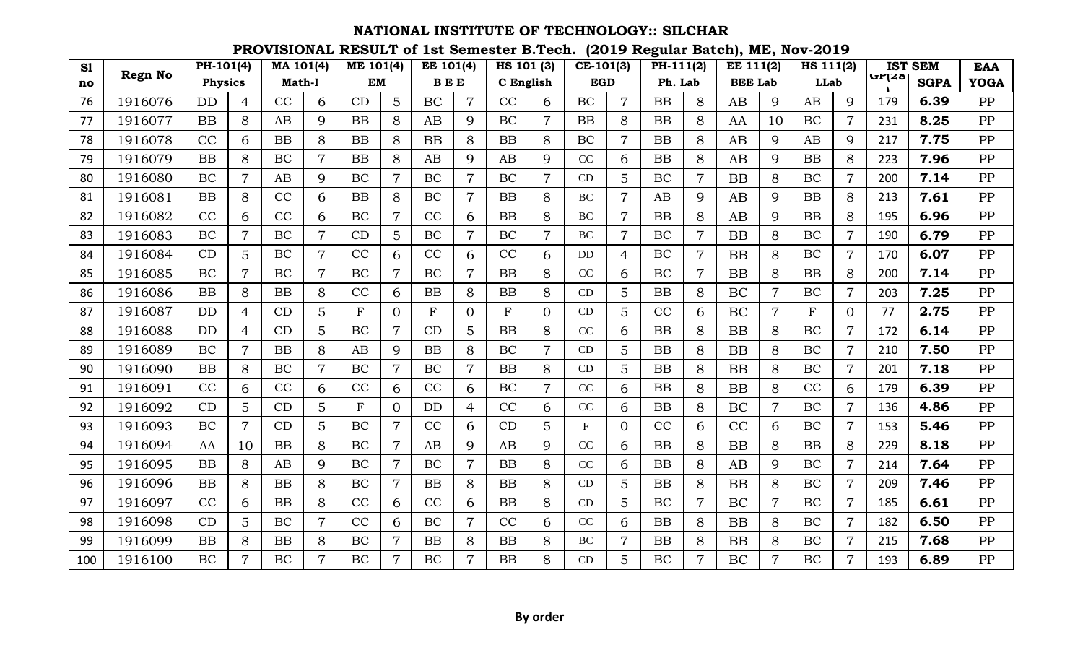| S1  |                | PH-101(4)      |                | MA 101(4)     |                | <b>ME 101(4)</b> |                | EE 101(4)               |                | HS 101 (3)  |                | $CE-101(3)$ |                 | PH-111(2) |                | EE 111(2)      |                | HS 111(2)   |                |       | <b>IST SEM</b> | <b>EAA</b>  |
|-----|----------------|----------------|----------------|---------------|----------------|------------------|----------------|-------------------------|----------------|-------------|----------------|-------------|-----------------|-----------|----------------|----------------|----------------|-------------|----------------|-------|----------------|-------------|
| no  | <b>Regn No</b> | <b>Physics</b> |                | <b>Math-I</b> |                | <b>EM</b>        |                | $\mathbf B\to\mathbf E$ |                | C English   |                | <b>EGD</b>  |                 | Ph. Lab   |                | <b>BEE Lab</b> |                | <b>LLab</b> |                | urाzo | <b>SGPA</b>    | <b>YOGA</b> |
| 76  | 1916076        | <b>DD</b>      | 4              | CC            | 6              | CD               | 5              | <b>BC</b>               | $\overline{7}$ | CC          | 6              | BC          | $\overline{7}$  | <b>BB</b> | 8              | AB             | 9              | AB          | 9              | 179   | 6.39           | PP          |
| 77  | 1916077        | <b>BB</b>      | 8              | AB            | 9              | <b>BB</b>        | 8              | AB                      | 9              | BC          | 7              | <b>BB</b>   | 8               | <b>BB</b> | 8              | AA             | 10             | BC          | 7              | 231   | 8.25           | PP          |
| 78  | 1916078        | CC             | 6              | <b>BB</b>     | 8              | <b>BB</b>        | 8              | <b>BB</b>               | 8              | <b>BB</b>   | 8              | BC          | $\overline{7}$  | <b>BB</b> | 8              | AB             | 9              | AB          | 9              | 217   | 7.75           | PP          |
| 79  | 1916079        | <b>BB</b>      | 8              | BC            | $\overline{7}$ | <b>BB</b>        | 8              | AB                      | 9              | AB          | 9              | CC          | 6               | <b>BB</b> | 8              | AB             | 9              | <b>BB</b>   | 8              | 223   | 7.96           | PP          |
| 80  | 1916080        | <b>BC</b>      | $\overline{7}$ | AB            | 9              | BC               |                | BC                      |                | BC          | 7              | CD          | 5               | <b>BC</b> | $\overline{7}$ | <b>BB</b>      | 8              | BC          |                | 200   | 7.14           | PP          |
| 81  | 1916081        | <b>BB</b>      | 8              | CC            | 6              | <b>BB</b>        | 8              | BC                      | $\overline{7}$ | <b>BB</b>   | 8              | <b>BC</b>   | $\overline{7}$  | AB        | 9              | AB             | 9              | <b>BB</b>   | 8              | 213   | 7.61           | PP          |
| 82  | 1916082        | CC             | 6              | CC            | 6              | BC               | $\overline{7}$ | CC                      | 6              | BB          | 8              | BC          | 7               | <b>BB</b> | 8              | AB             | 9              | BB          | 8              | 195   | 6.96           | PP          |
| 83  | 1916083        | BC             | $\overline{7}$ | BC            | $\overline{7}$ | CD               | 5              | BC                      | 7              | BC          | $\overline{7}$ | <b>BC</b>   | $\overline{7}$  | BC        | $\overline{7}$ | <b>BB</b>      | 8              | BC          | 7              | 190   | 6.79           | PP          |
| 84  | 1916084        | CD             | 5              | BC            | $\overline{7}$ | CC               | 6              | CC                      | 6              | CC          | 6              | DD          | 4               | BC        | $\overline{7}$ | <b>BB</b>      | 8              | BC          | $\overline{7}$ | 170   | 6.07           | PP          |
| 85  | 1916085        | <b>BC</b>      | $\overline{7}$ | <b>BC</b>     | $\overline{7}$ | BC               | $\overline{7}$ | <b>BC</b>               |                | <b>BB</b>   | 8              | CC          | 6               | <b>BC</b> | $\overline{7}$ | <b>BB</b>      | 8              | BB          | 8              | 200   | 7.14           | PP          |
| 86  | 1916086        | <b>BB</b>      | 8              | BB            | 8              | CC               | 6              | BB                      | 8              | <b>BB</b>   | 8              | CD          | 5               | <b>BB</b> | 8              | BC             | 7              | BC          | $\overline{7}$ | 203   | 7.25           | PP          |
| 87  | 1916087        | <b>DD</b>      | 4              | CD            | 5              | $\mathbf F$      | $\overline{0}$ | $\mathbf F$             | 0              | $\mathbf F$ | 0              | CD          | 5               | CC        | 6              | BC             | 7              | $_{\rm F}$  | $\overline{0}$ | 77    | 2.75           | PP          |
| 88  | 1916088        | <b>DD</b>      | $\overline{4}$ | CD            | 5              | BC               | $\overline{7}$ | CD                      | 5              | BB          | 8              | CC          | 6               | <b>BB</b> | 8              | <b>BB</b>      | 8              | BC          | 7              | 172   | 6.14           | PP          |
| 89  | 1916089        | BC             | $\overline{7}$ | <b>BB</b>     | 8              | AB               | 9              | <b>BB</b>               | 8              | BC          | $\overline{7}$ | CD          | 5               | <b>BB</b> | 8              | <b>BB</b>      | 8              | BC          | $\overline{7}$ | 210   | 7.50           | PP          |
| 90  | 1916090        | <b>BB</b>      | 8              | <b>BC</b>     | $\overline{7}$ | BC               | $\overline{7}$ | <b>BC</b>               | $\overline{7}$ | BB          | 8              | CD          | 5               | <b>BB</b> | 8              | <b>BB</b>      | 8              | BC          | 7              | 201   | 7.18           | PP          |
| 91  | 1916091        | CC             | 6              | CC            | 6              | CC               | 6              | CC                      | 6              | BC          | $\overline{7}$ | CC          | 6               | <b>BB</b> | 8              | <b>BB</b>      | 8              | CC          | 6              | 179   | 6.39           | PP          |
| 92  | 1916092        | CD             | 5              | CD            | 5              | $\mathbf{F}$     | 0              | <b>DD</b>               | 4              | CC          | 6              | CC          | 6               | <b>BB</b> | 8              | BC             | 7              | <b>BC</b>   |                | 136   | 4.86           | PP          |
| 93  | 1916093        | BC             | $\overline{7}$ | CD            | 5              | BC               | $\overline{7}$ | CC                      | 6              | CD          | 5 <sup>5</sup> | $F_{\rm}$   | $\overline{0}$  | CC        | 6              | CC             | 6              | BC          | 7              | 153   | 5.46           | PP          |
| 94  | 1916094        | AA             | 10             | <b>BB</b>     | 8              | BC               | $\overline{7}$ | AB                      | 9              | AB          | 9              | CC          | 6               | <b>BB</b> | 8              | <b>BB</b>      | 8              | BB          | 8              | 229   | 8.18           | PP          |
| 95  | 1916095        | <b>BB</b>      | 8              | AB            | 9              | BC               | $\overline{7}$ | <b>BC</b>               | $\overline{7}$ | <b>BB</b>   | 8              | CC          | 6               | <b>BB</b> | 8              | AB             | 9              | BC          | $\overline{7}$ | 214   | 7.64           | PP          |
| 96  | 1916096        | <b>BB</b>      | 8              | <b>BB</b>     | 8              | BC               | $\overline{7}$ | BB                      | 8              | <b>BB</b>   | 8              | CD          | 5               | <b>BB</b> | 8              | <b>BB</b>      | 8              | BC          | $\overline{7}$ | 209   | 7.46           | PP          |
| 97  | 1916097        | CC             | 6              | <b>BB</b>     | 8              | CC               | 6              | CC                      | 6              | <b>BB</b>   | 8              | CD          | 5               | BC        | $\overline{7}$ | BC             | 7              | BC          | 7              | 185   | 6.61           | PP          |
| 98  | 1916098        | CD             | 5              | BC            | $\overline{7}$ | CC               | 6              | BC                      | 7              | CC          | 6              | CC          | 6               | <b>BB</b> | 8              | <b>BB</b>      | 8              | BC          | 7              | 182   | 6.50           | PP          |
| 99  | 1916099        | <b>BB</b>      | 8              | <b>BB</b>     | 8              | BC               | $\overline{7}$ | <b>BB</b>               | 8              | <b>BB</b>   | 8              | <b>BC</b>   | 7               | <b>BB</b> | 8              | <b>BB</b>      | 8              | BC          |                | 215   | 7.68           | PP          |
| 100 | 1916100        | <b>BC</b>      | $\overline{7}$ | <b>BC</b>     | $\overline{7}$ | <b>BC</b>        | $\overline{7}$ | <b>BC</b>               | $\overline{7}$ | <b>BB</b>   | 8              | CD          | $5\overline{)}$ | <b>BC</b> | $\overline{7}$ | <b>BC</b>      | $\overline{7}$ | <b>BC</b>   | 7              | 193   | 6.89           | PP          |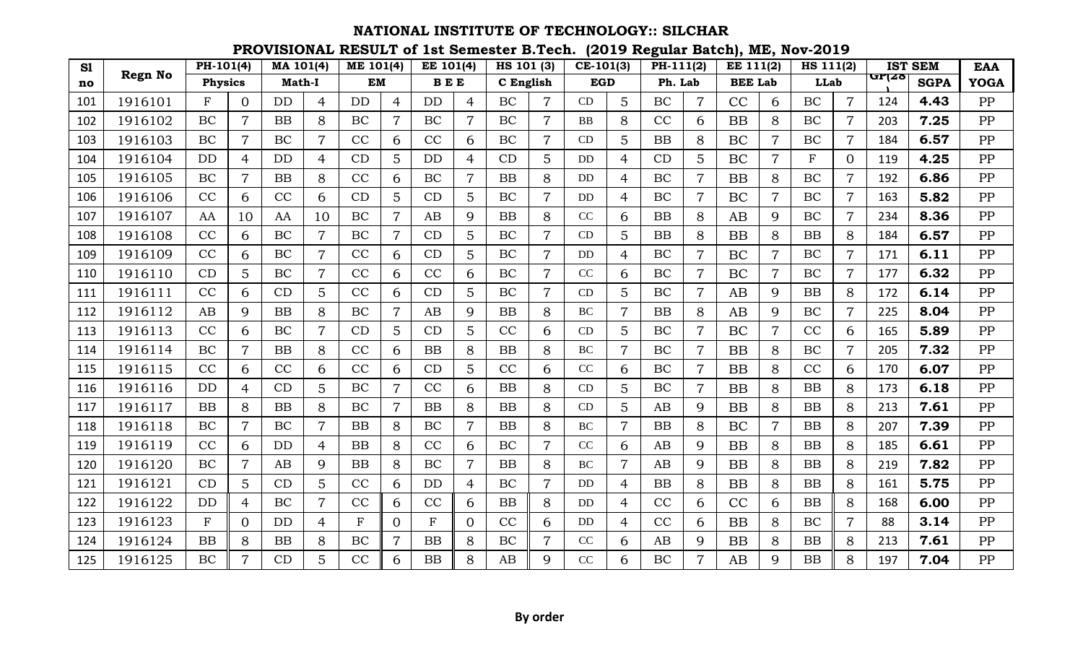| S1  |                | $PH-101(4)$    |                | MA 101(4)     |                | <b>ME 101(4)</b> |                | EE 101(4)    |                | HS 101 (3) |                | $CE-101(3)$ |                | PH-111(2) |                | <b>EE 111(2)</b> |                | HS 111(2)   |                |       | <b>IST SEM</b> | <b>EAA</b>  |
|-----|----------------|----------------|----------------|---------------|----------------|------------------|----------------|--------------|----------------|------------|----------------|-------------|----------------|-----------|----------------|------------------|----------------|-------------|----------------|-------|----------------|-------------|
| no  | <b>Regn No</b> | <b>Physics</b> |                | <b>Math-I</b> |                | <b>EM</b>        |                | <b>BEE</b>   |                | C English  |                | <b>EGD</b>  |                | Ph. Lab   |                | <b>BEE Lab</b>   |                | <b>LLab</b> |                | urizo | <b>SGPA</b>    | <b>YOGA</b> |
| 101 | 1916101        | $_{\rm F}$     | $\Omega$       | <b>DD</b>     | $\overline{4}$ | <b>DD</b>        | $\overline{4}$ | <b>DD</b>    | $\overline{4}$ | BC         | $\overline{7}$ | CD          | 5              | BC        | $\overline{7}$ | CC               | 6              | BC          | $\overline{7}$ | 124   | 4.43           | PP          |
| 102 | 1916102        | BC             | $\overline{7}$ | <b>BB</b>     | 8              | BC               | $\overline{7}$ | BC           | 7              | BC         | $\overline{7}$ | <b>BB</b>   | 8              | CC        | 6              | <b>BB</b>        | 8              | BC          | 7              | 203   | 7.25           | PP          |
| 103 | 1916103        | BC             | $\overline{7}$ | BC            | $\overline{7}$ | CC               | 6              | CC           | 6              | BC         | $\overline{7}$ | CD          | 5              | BB        | 8              | BC               | 7              | BC          | 7              | 184   | 6.57           | PP          |
| 104 | 1916104        | <b>DD</b>      | 4              | <b>DD</b>     | 4              | CD               | 5              | <b>DD</b>    | 4              | CD         | 5              | DD          | $\overline{4}$ | CD        | 5              | BC               | 7              | F           | $\overline{0}$ | 119   | 4.25           | PP          |
| 105 | 1916105        | <b>BC</b>      | $\overline{7}$ | BB            | 8              | CC               | 6              | BC           | 7              | <b>BB</b>  | 8              | DD          | 4              | <b>BC</b> | $\overline{7}$ | <b>BB</b>        | 8              | <b>BC</b>   | $\overline{7}$ | 192   | 6.86           | PP          |
| 106 | 1916106        | CC             | 6              | CC            | 6              | CD               | 5              | CD           | 5              | BC         | $\overline{7}$ | DD          | $\overline{4}$ | BC        | $\overline{7}$ | BC               | $\overline{7}$ | BC          | $\overline{7}$ | 163   | 5.82           | PP          |
| 107 | 1916107        | AA             | 10             | AA            | 10             | BC               | $\overline{7}$ | AB           | 9              | <b>BB</b>  | 8              | CC          | 6              | <b>BB</b> | 8              | AB               | 9              | BC          |                | 234   | 8.36           | PP          |
| 108 | 1916108        | CC             | 6              | BC            | $\overline{7}$ | BC               | $\overline{7}$ | CD           | 5              | BC         | $\overline{7}$ | CD          | 5              | BB        | 8              | <b>BB</b>        | 8              | BB          | 8              | 184   | 6.57           | PP          |
| 109 | 1916109        | CC             | 6              | BC            | $\overline{7}$ | CC               | 6              | CD           | 5              | BC         | $\overline{7}$ | DD          | $\overline{4}$ | BC        | $\overline{7}$ | BC               | 7              | BC          | $\overline{7}$ | 171   | 6.11           | PP          |
| 110 | 1916110        | CD             | 5              | BC            | $\overline{7}$ | CC               | 6              | CC           | 6              | <b>BC</b>  | $\overline{7}$ | CC          | 6              | <b>BC</b> | $\overline{7}$ | BC               | $\overline{7}$ | BC          | $\overline{7}$ | 177   | 6.32           | PP          |
| 111 | 1916111        | CC             | 6              | CD            | 5              | CC               | 6              | CD           | 5              | BC         | $\overline{7}$ | CD          | 5              | BC        | $\overline{7}$ | AB               | 9              | BB          | 8              | 172   | 6.14           | PP          |
| 112 | 1916112        | AB             | 9              | <b>BB</b>     | 8              | BC               | $\overline{7}$ | AB           | 9              | <b>BB</b>  | 8              | <b>BC</b>   | $\overline{7}$ | <b>BB</b> | 8              | AB               | 9              | BC          | 7              | 225   | 8.04           | PP          |
| 113 | 1916113        | CC             | 6              | BC            | $\overline{7}$ | CD               | 5              | CD           | 5              | CC         | 6              | CD          | 5              | BC        | $\overline{7}$ | BC               | 7              | CC          | 6              | 165   | 5.89           | PP          |
| 114 | 1916114        | BC             | $\overline{7}$ | <b>BB</b>     | 8              | CC               | 6              | <b>BB</b>    | 8              | BB         | 8              | <b>BC</b>   | $\overline{7}$ | BC        | $\overline{7}$ | <b>BB</b>        | 8              | BC          | $\overline{7}$ | 205   | 7.32           | PP          |
| 115 | 1916115        | CC             | 6              | CC            | 6              | CC               | 6              | CD           | 5              | CC         | 6              | CC          | 6              | <b>BC</b> | $\overline{7}$ | <b>BB</b>        | 8              | CC          | 6              | 170   | 6.07           | PP          |
| 116 | 1916116        | <b>DD</b>      | 4              | CD            | 5              | BC               | $\overline{7}$ | CC           | 6              | BB         | 8              | CD          | 5              | BC        | $\overline{7}$ | <b>BB</b>        | 8              | BB          | 8              | 173   | 6.18           | PP          |
| 117 | 1916117        | <b>BB</b>      | 8              | <b>BB</b>     | 8              | BC               | $\overline{7}$ | BB           | 8              | <b>BB</b>  | 8              | CD          | 5              | AB        | 9              | <b>BB</b>        | 8              | <b>BB</b>   | 8              | 213   | 7.61           | PP          |
| 118 | 1916118        | BC             | $\overline{7}$ | BC            | $\overline{7}$ | <b>BB</b>        | 8              | BC           | 7              | BB         | 8              | BC          | $\overline{7}$ | <b>BB</b> | 8              | BC               | 7              | BB          | 8              | 207   | 7.39           | PP          |
| 119 | 1916119        | CC             | 6              | <b>DD</b>     | $\overline{4}$ | <b>BB</b>        | 8              | CC           | 6              | BC         | $\overline{7}$ | CC          | 6              | AB        | 9              | <b>BB</b>        | 8              | <b>BB</b>   | 8              | 185   | 6.61           | PP          |
| 120 | 1916120        | <b>BC</b>      | $\overline{7}$ | AB            | 9              | BB               | 8              | <b>BC</b>    | $\overline{7}$ | BB         | 8              | <b>BC</b>   | $\overline{7}$ | AB        | 9              | <b>BB</b>        | 8              | BB          | 8              | 219   | 7.82           | PP          |
| 121 | 1916121        | CD             | 5              | CD            | 5              | CC               | 6              | DD           | $\overline{4}$ | BC         | $\overline{7}$ | DD          | $\overline{4}$ | <b>BB</b> | 8              | <b>BB</b>        | 8              | BB          | 8              | 161   | 5.75           | PP          |
| 122 | 1916122        | <b>DD</b>      | 4              | BC            | $\overline{7}$ | CC               | 6              | CC           | 6              | <b>BB</b>  | 8              | DD          | 4              | CC        | 6              | CC               | 6              | BB          | 8              | 168   | 6.00           | PP          |
| 123 | 1916123        | $_{\rm F}$     | 0              | DD            | 4              | ${\bf F}$        | $\Omega$       | $\mathbf{F}$ | $\Omega$       | CC         | 6              | DD          | 4              | CC        | 6              | <b>BB</b>        | 8              | BC          |                | 88    | 3.14           | PP          |
| 124 | 1916124        | <b>BB</b>      | 8              | <b>BB</b>     | 8              | BC               | $\overline{7}$ | <b>BB</b>    | 8              | BC         |                | CC          | 6              | AB        | 9              | <b>BB</b>        | 8              | BB          | 8              | 213   | 7.61           | PP          |
| 125 | 1916125        | <b>BC</b>      | $\overline{7}$ | CD            | 5              | CC               | 6              | <b>BB</b>    | 8              | AB         | $\mathbf Q$    | CC          | 6              | <b>BC</b> | $\overline{7}$ | AB               | 9              | BB          | 8              | 197   | 7.04           | PP          |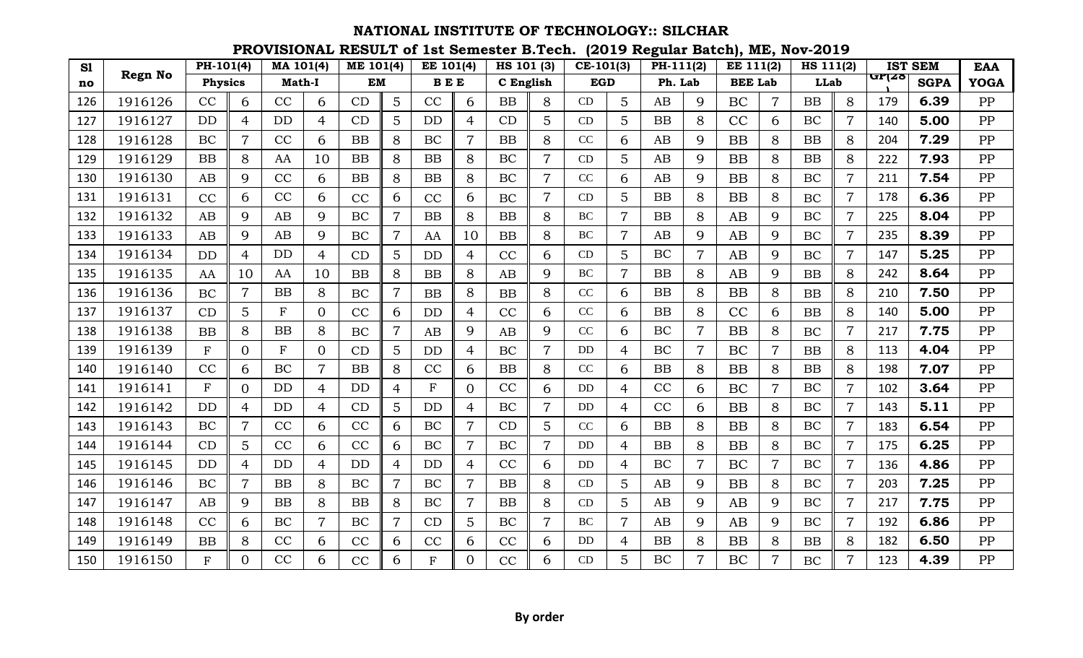| S1  |                | PH-101(4)      |                | MA 101(4)     |                | <b>ME 101(4)</b> |                | EE 101(4)      |                | HS 101 (3) |                | $CE-101(3)$ |                 | PH-111(2) |                | EE 111(2)      |                | HS 111(2) |                |       | <b>IST SEM</b> | <b>EAA</b>  |
|-----|----------------|----------------|----------------|---------------|----------------|------------------|----------------|----------------|----------------|------------|----------------|-------------|-----------------|-----------|----------------|----------------|----------------|-----------|----------------|-------|----------------|-------------|
| no  | <b>Regn No</b> | <b>Physics</b> |                | <b>Math-I</b> |                | <b>EM</b>        |                | <b>BEE</b>     |                | C English  |                | <b>EGD</b>  |                 | Ph. Lab   |                | <b>BEE Lab</b> |                | LLab      |                | GP(28 | <b>SGPA</b>    | <b>YOGA</b> |
| 126 | 1916126        | CC             | 6              | CC            | 6              | CD               | 5              | CC             | 6              | <b>BB</b>  | 8              | CD          | 5               | AB        | 9              | BC             | $\overline{7}$ | BB        | 8              | 179   | 6.39           | PP          |
| 127 | 1916127        | <b>DD</b>      | 4              | DD            | 4              | CD               | 5              | <b>DD</b>      | 4              | CD         | 5              | CD          | 5               | <b>BB</b> | 8              | CC             | 6              | BC        | 7              | 140   | 5.00           | PP          |
| 128 | 1916128        | BC             | $\overline{7}$ | CC            | 6              | BB               | 8              | BC             |                | <b>BB</b>  | 8              | CC          | 6               | AB        | 9              | <b>BB</b>      | 8              | BB        | 8              | 204   | 7.29           | PP          |
| 129 | 1916129        | <b>BB</b>      | 8              | AA            | 10             | BB               | 8              | <b>BB</b>      | 8              | BC         | $\overline{7}$ | CD          | 5               | AB        | 9              | <b>BB</b>      | 8              | BB        | 8              | 222   | 7.93           | PP          |
| 130 | 1916130        | AB             | 9              | CC            | 6              | BB               | 8              | BB             | 8              | <b>BC</b>  | $\overline{7}$ | CC          | 6               | AB        | 9              | <b>BB</b>      | 8              | BC        | 7              | 211   | 7.54           | PP          |
| 131 | 1916131        | CC             | 6              | CC            | 6              | CC               | 6              | CC             | 6              | BC         | $\overline{7}$ | CD          | 5               | <b>BB</b> | 8              | <b>BB</b>      | 8              | <b>BC</b> | $\overline{7}$ | 178   | 6.36           | PP          |
| 132 | 1916132        | AB             | 9              | AB            | 9              | BC               |                | <b>BB</b>      | 8              | <b>BB</b>  | 8              | <b>BC</b>   | $\overline{7}$  | <b>BB</b> | 8              | AB             | 9              | BC        |                | 225   | 8.04           | PP          |
| 133 | 1916133        | AB             | 9              | AB            | 9              | BC               | $\overline{7}$ | AA             | 10             | <b>BB</b>  | 8              | <b>BC</b>   | 7               | AB        | 9              | AB             | 9              | <b>BC</b> |                | 235   | 8.39           | PP          |
| 134 | 1916134        | <b>DD</b>      | $\overline{4}$ | <b>DD</b>     | 4              | CD               | 5              | <b>DD</b>      | 4              | CC         | 6              | CD          | 5               | BC        | $\overline{7}$ | AB             | 9              | BC        | $\overline{7}$ | 147   | 5.25           | PP          |
| 135 | 1916135        | AA             | 10             | AA            | 10             | BB               | 8              | <b>BB</b>      | 8              | AB         | 9              | <b>BC</b>   | $\overline{7}$  | <b>BB</b> | 8              | AB             | 9              | BB        | 8              | 242   | 8.64           | PP          |
| 136 | 1916136        | BC             | $\overline{7}$ | BB            | 8              | <b>BC</b>        | $\overline{7}$ | BB             | 8              | BB         | 8              | $\rm CC$    | 6               | <b>BB</b> | 8              | <b>BB</b>      | 8              | BB        | 8              | 210   | 7.50           | PP          |
| 137 | 1916137        | CD             | 5              | $\mathbf{F}$  | $\overline{0}$ | CC               | 6              | <b>DD</b>      | 4              | CC         | 6              | CC          | 6               | <b>BB</b> | 8              | CC             | 6              | BB        | 8              | 140   | 5.00           | PP          |
| 138 | 1916138        | <b>BB</b>      | 8              | BB            | 8              | <b>BC</b>        | $\overline{7}$ | AB             | 9              | AB         | 9              | CC          | 6               | BC        | $\overline{7}$ | <b>BB</b>      | 8              | <b>BC</b> |                | 217   | 7.75           | PP          |
| 139 | 1916139        | ${\bf F}$      | $\overline{0}$ | $\mathbf{F}$  | $\overline{0}$ | CD               | 5              | <b>DD</b>      | 4              | BC         | $\overline{7}$ | DD          | 4               | BC        | $\overline{7}$ | BC             | $\overline{7}$ | BB        | 8              | 113   | 4.04           | PP          |
| 140 | 1916140        | CC             | 6              | BC            | $\overline{7}$ | BB               | 8              | CC             | 6              | BB         | 8              | CC          | 6               | <b>BB</b> | 8              | <b>BB</b>      | 8              | BB        | 8              | 198   | 7.07           | PP          |
| 141 | 1916141        | $\mathbf F$    | $\overline{0}$ | <b>DD</b>     | $\overline{4}$ | DD               | 4              | $\mathbf F$    | $\Omega$       | CC         | 6              | <b>DD</b>   | $\overline{4}$  | CC        | 6              | BC             | $\overline{7}$ | BC        | $\overline{7}$ | 102   | 3.64           | PP          |
| 142 | 1916142        | <b>DD</b>      | 4              | DD            | 4              | CD               | 5              | <b>DD</b>      | 4              | BC         | 7              | DD          | 4               | CC        | 6              | <b>BB</b>      | 8              | BC        | 7              | 143   | 5.11           | PP          |
| 143 | 1916143        | BC             | $\overline{7}$ | CC            | 6              | CC               | 6              | BC             | 7              | CD         | 5              | CC          | 6               | <b>BB</b> | 8              | <b>BB</b>      | 8              | BC        | 7              | 183   | 6.54           | PP          |
| 144 | 1916144        | CD             | 5              | CC            | 6              | CC               | 6              | <b>BC</b>      | $\overline{7}$ | BC         | $\overline{7}$ | DD          | 4               | <b>BB</b> | 8              | <b>BB</b>      | 8              | BC        | $\overline{7}$ | 175   | 6.25           | PP          |
| 145 | 1916145        | <b>DD</b>      | 4              | <b>DD</b>     | 4              | <b>DD</b>        | 4              | <b>DD</b>      | 4              | CC         | 6              | DD          | 4               | BC        | $\overline{7}$ | BC             | $\overline{7}$ | <b>BC</b> | 7              | 136   | 4.86           | PP          |
| 146 | 1916146        | BC             | $\overline{7}$ | BB            | 8              | <b>BC</b>        | $\overline{7}$ | BC             | $\overline{7}$ | <b>BB</b>  | 8              | CD          | 5               | AB        | 9              | <b>BB</b>      | 8              | BC        | $\overline{7}$ | 203   | 7.25           | PP          |
| 147 | 1916147        | AB             | 9              | <b>BB</b>     | 8              | BB               | 8              | BC             | 7              | <b>BB</b>  | 8              | CD          | 5               | AB        | 9              | AB             | 9              | BC        | 7              | 217   | 7.75           | PP          |
| 148 | 1916148        | CC             | 6              | BC            | $\overline{7}$ | BC               | 7              | CD             | 5              | BC         | $\overline{7}$ | <b>BC</b>   | $\overline{7}$  | AB        | 9              | AB             | 9              | BC        |                | 192   | 6.86           | PP          |
| 149 | 1916149        | <b>BB</b>      | 8              | CC            | 6              | CC               | 6              | CC             | 6              | CC         | 6              | DD          | 4               | <b>BB</b> | 8              | <b>BB</b>      | 8              | BB        | 8              | 182   | 6.50           | PP          |
| 150 | 1916150        | F              | $\Omega$       | CC            | 6              | CC               | 6              | $\overline{F}$ | $\Omega$       | CC         | 6              | CD          | $5\overline{)}$ | <b>BC</b> | $\overline{7}$ | BC             | $\overline{7}$ | <b>BC</b> | 7              | 123   | 4.39           | PP          |